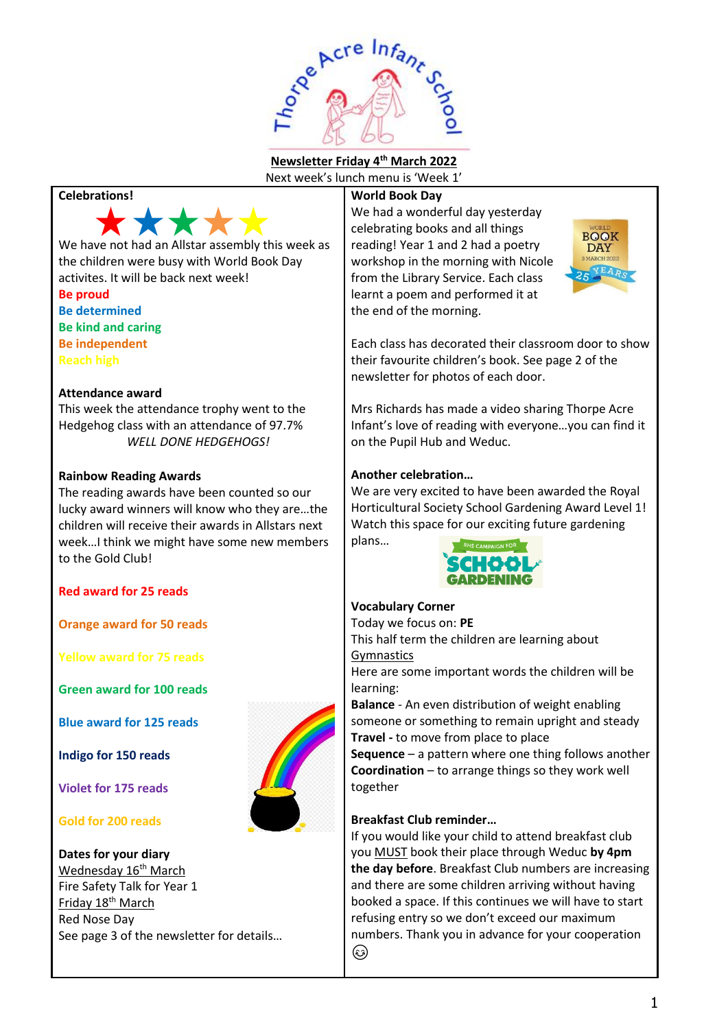

**Newsletter Friday 4 th March 2022**

Next week's lunch menu is 'Week 1'

# **Celebrations!**



We have not had an Allstar assembly this week as the children were busy with World Book Day activites. It will be back next week!

**Be proud Be determined Be kind and caring Be independent Reach high**

#### **Attendance award**

This week the attendance trophy went to the Hedgehog class with an attendance of 97.7% *WELL DONE HEDGEHOGS!*

#### **Rainbow Reading Awards**

The reading awards have been counted so our lucky award winners will know who they are…the children will receive their awards in Allstars next week…I think we might have some new members to the Gold Club!

# **Red award for 25 reads**

**Orange award for 50 reads**

**Yellow award for 75 reads**

**Green award for 100 reads**

**Blue award for 125 reads**

**Indigo for 150 reads**

**Violet for 175 reads**

# **Gold for 200 reads**

**Dates for your diary** Wednesday 16<sup>th</sup> March Fire Safety Talk for Year 1 Friday 18<sup>th</sup> March Red Nose Day See page 3 of the newsletter for details…

#### **World Book Day**

We had a wonderful day vesterday celebrating books and all things reading! Year 1 and 2 had a poetry workshop in the morning with Nicole from the Library Service. Each class learnt a poem and performed it at the end of the morning.



Each class has decorated their classroom door to show their favourite children's book. See page 2 of the newsletter for photos of each door.

Mrs Richards has made a video sharing Thorpe Acre Infant's love of reading with everyone…you can find it on the Pupil Hub and Weduc.

#### **Another celebration…**

We are very excited to have been awarded the Royal Horticultural Society School Gardening Award Level 1! Watch this space for our exciting future gardening



# **Vocabulary Corner**

plans…

Today we focus on: **PE** This half term the children are learning about **Gymnastics** 

Here are some important words the children will be learning:

**Balance** - An even distribution of weight enabling someone or something to remain upright and steady **Travel -** to move from place to place

**Sequence** – a pattern where one thing follows another **Coordination** – to arrange things so they work well together

# **Breakfast Club reminder…**

If you would like your child to attend breakfast club you MUST book their place through Weduc **by 4pm the day before**. Breakfast Club numbers are increasing and there are some children arriving without having booked a space. If this continues we will have to start refusing entry so we don't exceed our maximum numbers. Thank you in advance for your cooperation ☺

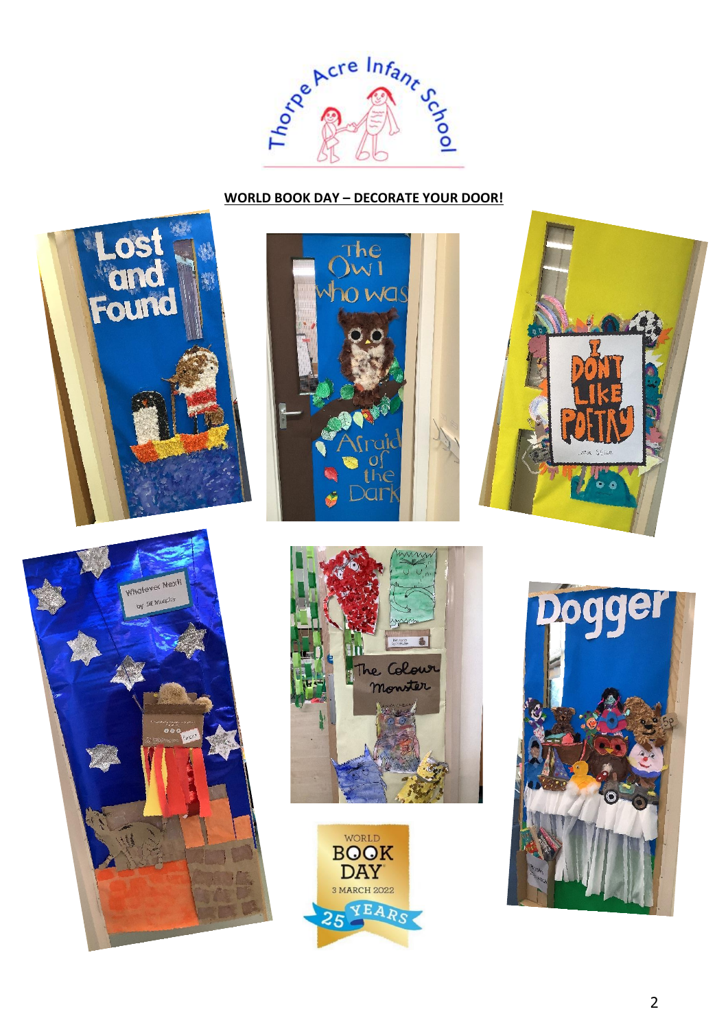

# **WORLD BOOK DAY – DECORATE YOUR DOOR!**